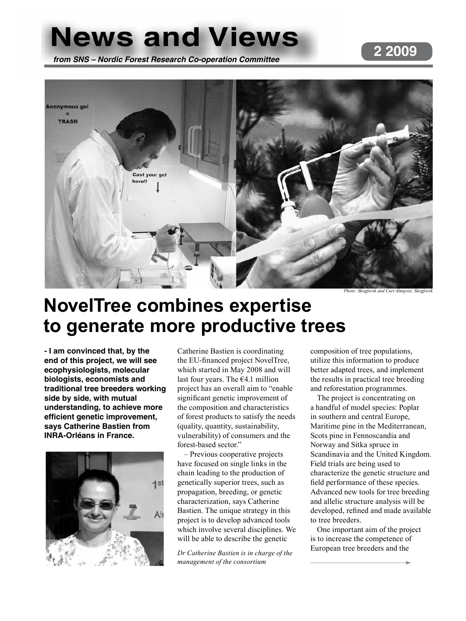# **News and Views**

## **2 2009**

*from SNS – Nordic Forest Research Co-operation Committee*



# **NovelTree combines expertise to generate more productive trees**

**- I am convinced that, by the end of this project, we will see ecophysiologists, molecular biologists, economists and traditional tree breeders working side by side, with mutual understanding, to achieve more efficient genetic improvement, says Catherine Bastien from INRA-Orléans in France.** 



Catherine Bastien is coordinating the EU-financed project NovelTree, which started in May 2008 and will last four years. The €4.1 million project has an overall aim to "enable significant genetic improvement of the composition and characteristics of forest products to satisfy the needs (quality, quantity, sustainability, vulnerability) of consumers and the forest-based sector."

– Previous cooperative projects have focused on single links in the chain leading to the production of genetically superior trees, such as propagation, breeding, or genetic characterization, says Catherine Bastien. The unique strategy in this project is to develop advanced tools which involve several disciplines. We will be able to describe the genetic

*Dr Catherine Bastien is in charge of the management of the consortium*

composition of tree populations, utilize this information to produce better adapted trees, and implement the results in practical tree breeding and reforestation programmes.

The project is concentrating on a handful of model species: Poplar in southern and central Europe, Maritime pine in the Mediterranean, Scots pine in Fennoscandia and Norway and Sitka spruce in Scandinavia and the United Kingdom. Field trials are being used to characterize the genetic structure and field performance of these species. Advanced new tools for tree breeding and allelic structure analysis will be developed, refined and made available to tree breeders.

One important aim of the project is to increase the competence of European tree breeders and the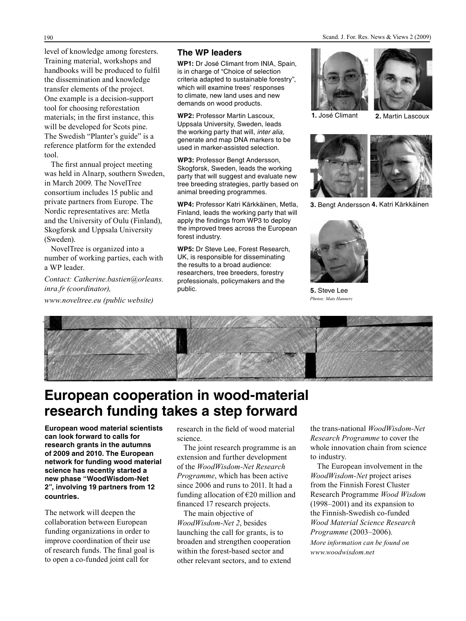level of knowledge among foresters. Training material, workshops and handbooks will be produced to fulfil the dissemination and knowledge transfer elements of the project. One example is a decision-support tool for choosing reforestation materials; in the first instance, this will be developed for Scots pine. The Swedish "Planter's guide" is a reference platform for the extended tool.

The first annual project meeting was held in Alnarp, southern Sweden, in March 2009. The NovelTree consortium includes 15 public and private partners from Europe. The Nordic representatives are: Metla and the University of Oulu (Finland), Skogforsk and Uppsala University (Sweden).

NovelTree is organized into a number of working parties, each with a WP leader.

*Contact: Catherine.bastien@orleans. inra.fr (coordinator),* 

*www.noveltree.eu (public website)*

#### **The WP leaders**

**WP1:** Dr José Climant from INIA, Spain, is in charge of "Choice of selection criteria adapted to sustainable forestry", which will examine trees' responses to climate, new land uses and new demands on wood products.

**WP2:** Professor Martin Lascoux, Uppsala University, Sweden, leads the working party that will, *inter alia*, generate and map DNA markers to be used in marker-assisted selection.

**WP3:** Professor Bengt Andersson, Skogforsk, Sweden, leads the working party that will suggest and evaluate new tree breeding strategies, partly based on animal breeding programmes.

**WP4:** Professor Katri Kärkkäinen, Metla, Finland, leads the working party that will apply the findings from WP3 to deploy the improved trees across the European forest industry.

**WP5:** Dr Steve Lee, Forest Research, UK, is responsible for disseminating the results to a broad audience: researchers, tree breeders, forestry professionals, policymakers and the public.





 **1.** José Climant **2.** Martin Lascoux



**3.** Bengt Andersson **4.** Katri Kärkkäinen



**5.** Steve Lee *Photos: Mats Hannerz*



## **European cooperation in wood-material research funding takes a step forward**

**European wood material scientists can look forward to calls for research grants in the autumns of 2009 and 2010. The European network for funding wood material science has recently started a new phase "WoodWisdom-Net 2", involving 19 partners from 12 countries.**

The network will deepen the collaboration between European funding organizations in order to improve coordination of their use of research funds. The final goal is to open a co-funded joint call for

research in the field of wood material science.

The joint research programme is an extension and further development of the *WoodWisdom-Net Research Programme*, which has been active since 2006 and runs to 2011. It had a funding allocation of  $E20$  million and financed 17 research projects.

The main objective of *WoodWisdom-Net 2*, besides launching the call for grants, is to broaden and strengthen cooperation within the forest-based sector and other relevant sectors, and to extend the trans-national *WoodWisdom-Net Research Programme* to cover the whole innovation chain from science to industry.

The European involvement in the *WoodWisdom-Net* project arises from the Finnish Forest Cluster Research Programme *Wood Wisdom*  (1998–2001) and its expansion to the Finnish-Swedish co-funded *Wood Material Science Research Programme* (2003–2006). *More information can be found on www.woodwisdom.net*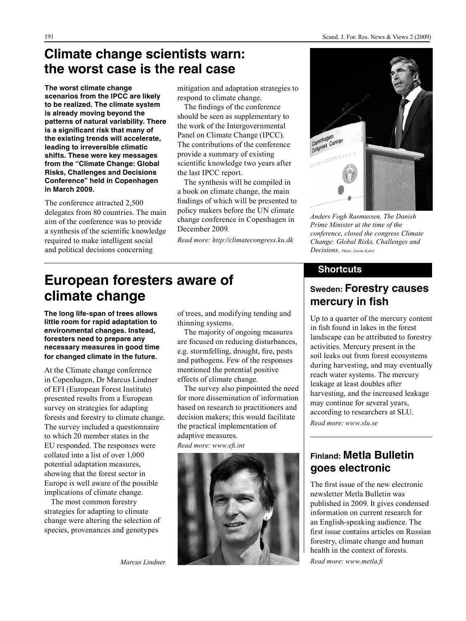### **Climate change scientists warn: the worst case is the real case**

**The worst climate change scenarios from the IPCC are likely to be realized. The climate system is already moving beyond the patterns of natural variability. There is a significant risk that many of the existing trends will accelerate, leading to irreversible climatic shifts. These were key messages from the "Climate Change: Global Risks, Challenges and Decisions Conference" held in Copenhagen in March 2009.**

The conference attracted 2,500 delegates from 80 countries. The main aim of the conference was to provide a synthesis of the scientific knowledge required to make intelligent social and political decisions concerning

mitigation and adaptation strategies to respond to climate change.

The findings of the conference should be seen as supplementary to the work of the Intergovernmental Panel on Climate Change (IPCC). The contributions of the conference provide a summary of existing scientific knowledge two years after the last IPCC report.

The synthesis will be compiled in a book on climate change, the main findings of which will be presented to policy makers before the UN climate change conference in Copenhagen in December 2009.

*Read more: http://climatecongress.ku.dk*



*Anders Fogh Rasmussen, The Danish Prime Minister at the time of the conference, closed the congress Climate Change: Global Risks, Challenges and Decisions. Photo: Lizette Kabré*

#### **Shortcuts**

#### **Sweden: Forestry causes mercury in fish**

Up to a quarter of the mercury content in fish found in lakes in the forest landscape can be attributed to forestry activities. Mercury present in the soil leaks out from forest ecosystems during harvesting, and may eventually reach water systems. The mercury leakage at least doubles after harvesting, and the increased leakage may continue for several years, according to researchers at SLU. *Read more: www.slu.se*

#### **Finland: Metla Bulletin goes electronic**

The first issue of the new electronic newsletter Metla Bulletin was published in 2009. It gives condensed information on current research for an English-speaking audience. The first issue contains articles on Russian forestry, climate change and human health in the context of forests.

*Read more: www.metla.fi*

# **European foresters aware of climate change**

**The long life-span of trees allows little room for rapid adaptation to environmental changes. Instead, foresters need to prepare any necessary measures in good time for changed climate in the future.**

At the Climate change conference in Copenhagen, Dr Marcus Lindner of EFI (European Forest Institute) presented results from a European survey on strategies for adapting forests and forestry to climate change. The survey included a questionnaire to which 20 member states in the EU responded. The responses were collated into a list of over 1,000 potential adaptation measures, showing that the forest sector in Europe is well aware of the possible implications of climate change.

The most common forestry strategies for adapting to climate change were altering the selection of species, provenances and genotypes

*Marcus Lindner.* 

of trees, and modifying tending and thinning systems.

The majority of ongoing measures are focused on reducing disturbances, e.g. stormfelling, drought, fire, pests and pathogens. Few of the responses mentioned the potential positive effects of climate change.

The survey also pinpointed the need for more dissemination of information based on research to practitioners and decision makers; this would facilitate the practical implementation of adaptive measures.

*Read more: www.efi.int*